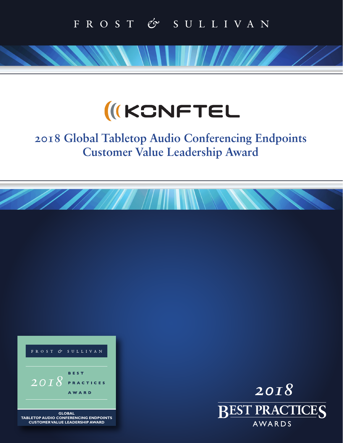# **IKCNFTEL**

# **2018 Global Tabletop Audio Conferencing Endpoints Customer Value Leadership Award**



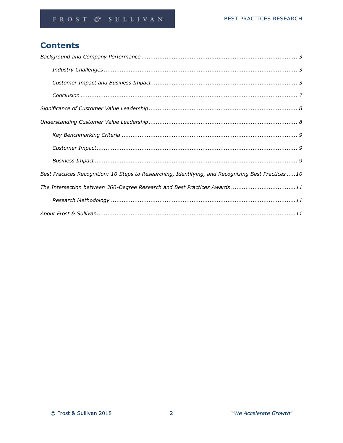# **Contents**

| Best Practices Recognition: 10 Steps to Researching, Identifying, and Recognizing Best Practices 10 |
|-----------------------------------------------------------------------------------------------------|
| The Intersection between 360-Degree Research and Best Practices Awards 11                           |
|                                                                                                     |
|                                                                                                     |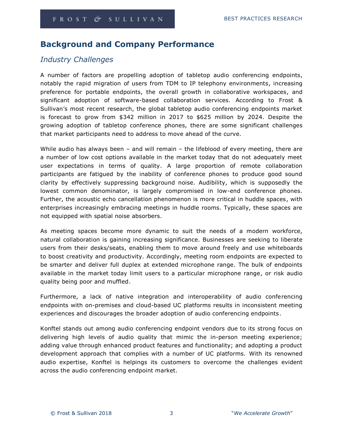# **Background and Company Performance**

# *Industry Challenges*

A number of factors are propelling adoption of tabletop audio conferencing endpoints, notably the rapid migration of users from TDM to IP telephony environments, increasing preference for portable endpoints, the overall growth in collaborative workspaces, and significant adoption of software-based collaboration services. According to Frost & Sullivan's most recent research, the global tabletop audio conferencing endpoints market is forecast to grow from \$342 million in 2017 to \$625 million by 2024. Despite the growing adoption of tabletop conference phones, there are some significant challenges that market participants need to address to move ahead of the curve.

While audio has always been – and will remain – the lifeblood of every meeting, there are a number of low cost options available in the market today that do not adequately meet user expectations in terms of quality. A large proportion of remote collaboration participants are fatigued by the inability of conference phones to produce good sound clarity by effectively suppressing background noise. Audibility, which is supposedly the lowest common denominator, is largely compromised in low-end conference phones. Further, the acoustic echo cancellation phenomenon is more critical in huddle spaces, with enterprises increasingly embracing meetings in huddle rooms. Typically, these spaces are not equipped with spatial noise absorbers.

As meeting spaces become more dynamic to suit the needs of a modern workforce, natural collaboration is gaining increasing significance. Businesses are seeking to liberate users from their desks/seats, enabling them to move around freely and use whiteboards to boost creativity and productivity. Accordingly, meeting room endpoints are expected to be smarter and deliver full duplex at extended microphone range. The bulk of endpoints available in the market today limit users to a particular microphone range, or risk audio quality being poor and muffled.

Furthermore, a lack of native integration and interoperability of audio conferencing endpoints with on-premises and cloud-based UC platforms results in inconsistent meeting experiences and discourages the broader adoption of audio conferencing endpoints.

Konftel stands out among audio conferencing endpoint vendors due to its strong focus on delivering high levels of audio quality that mimic the in-person meeting experience; adding value through enhanced product features and functionality; and adopting a product development approach that complies with a number of UC platforms. With its renowned audio expertise, Konftel is helpings its customers to overcome the challenges evident across the audio conferencing endpoint market.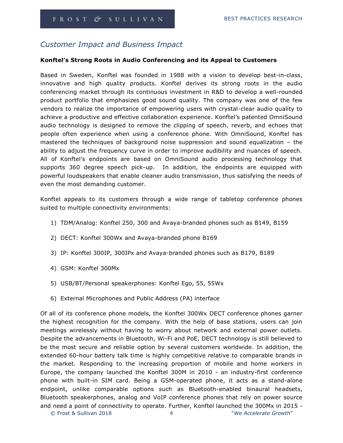# *Customer Impact and Business Impact*

#### **Konftel's Strong Roots in Audio Conferencing and its Appeal to Customers**

Based in Sweden, Konftel was founded in 1988 with a vision to develop best-in-class, innovative and high quality products. Konftel derives its strong roots in the audio conferencing market through its continuous investment in R&D to develop a well-rounded product portfolio that emphasizes good sound quality. The company was one of the few vendors to realize the importance of empowering users with crystal-clear audio quality to achieve a productive and effective collaboration experience. Konftel's patented OmniSound audio technology is designed to remove the clipping of speech, reverb, and echoes that people often experience when using a conference phone. With OmniSound, Konftel has mastered the techniques of background noise suppression and sound equalization – the ability to adjust the frequency curve in order to improve audibility and nuances of speech. All of Konftel's endpoints are based on OmniSound audio processing technology that supports 360 degree speech pick-up. In addition, the endpoints are equipped with powerful loudspeakers that enable cleaner audio transmission, thus satisfying the needs of even the most demanding customer.

Konftel appeals to its customers through a wide range of tabletop conference phones suited to multiple connectivity environments:

- 1) TDM/Analog: Konftel 250, 300 and Avaya-branded phones such as B149, B159
- 2) DECT: Konftel 300Wx and Avaya-branded phone B169
- 3) IP: Konftel 300IP, 300IPx and Avaya-branded phones such as B179, B189
- 4) GSM: Konftel 300Mx
- 5) USB/BT/Personal speakerphones: Konftel Ego, 55, 55Wx
- 6) External Microphones and Public Address (PA) interface

Of all of its conference phone models, the Konftel 300Wx DECT conference phones garner the highest recognition for the company. With the help of base stations, users can join meetings wirelessly without having to worry about network and external power outlets. Despite the advancements in Bluetooth, Wi-Fi and PoE, DECT technology is still believed to be the most secure and reliable option by several customers worldwide. In addition, the extended 60-hour battery talk time is highly competitive relative to comparable brands in the market. Responding to the increasing proportion of mobile and home workers in Europe, the company launched the Konftel 300M in 2010 - an industry-first conference phone with built-in SIM card. Being a GSM-operated phone, it acts as a stand-alone endpoint, unlike comparable options such as Bluetooth-enabled binaural headsets, Bluetooth speakerphones, analog and VoIP conference phones that rely on power source and need a point of connectivity to operate. Further, Konftel launched the 300Mx in 2015 -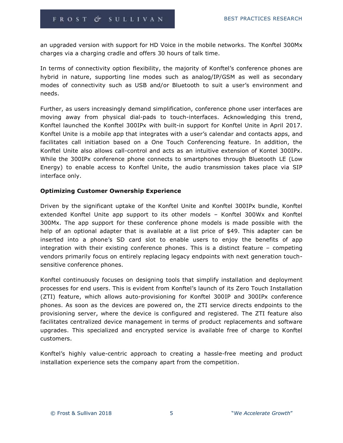an upgraded version with support for HD Voice in the mobile networks. The Konftel 300Mx charges via a charging cradle and offers 30 hours of talk time.

In terms of connectivity option flexibility, the majority of Konftel's conference phones are hybrid in nature, supporting line modes such as analog/IP/GSM as well as secondary modes of connectivity such as USB and/or Bluetooth to suit a user's environment and needs.

Further, as users increasingly demand simplification, conference phone user interfaces are moving away from physical dial-pads to touch-interfaces. Acknowledging this trend, Konftel launched the Konftel 300IPx with built-in support for Konftel Unite in April 2017. Konftel Unite is a mobile app that integrates with a user's calendar and contacts apps, and facilitates call initiation based on a One Touch Conferencing feature. In addition, the Konftel Unite also allows call-control and acts as an intuitive extension of Kontel 300IPx. While the 300IPx conference phone connects to smartphones through Bluetooth LE (Low Energy) to enable access to Konftel Unite, the audio transmission takes place via SIP interface only.

#### **Optimizing Customer Ownership Experience**

Driven by the significant uptake of the Konftel Unite and Konftel 300IPx bundle, Konftel extended Konftel Unite app support to its other models – Konftel 300Wx and Konftel 300Mx. The app support for these conference phone models is made possible with the help of an optional adapter that is available at a list price of \$49. This adapter can be inserted into a phone's SD card slot to enable users to enjoy the benefits of app integration with their existing conference phones. This is a distinct feature – competing vendors primarily focus on entirely replacing legacy endpoints with next generation touchsensitive conference phones.

Konftel continuously focuses on designing tools that simplify installation and deployment processes for end users. This is evident from Konftel's launch of its Zero Touch Installation (ZTI) feature, which allows auto-provisioning for Konftel 300IP and 300IPx conference phones. As soon as the devices are powered on, the ZTI service directs endpoints to the provisioning server, where the device is configured and registered. The ZTI feature also facilitates centralized device management in terms of product replacements and software upgrades. This specialized and encrypted service is available free of charge to Konftel customers.

Konftel's highly value-centric approach to creating a hassle-free meeting and product installation experience sets the company apart from the competition.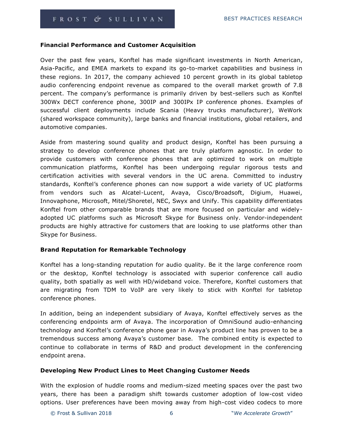#### **Financial Performance and Customer Acquisition**

Over the past few years, Konftel has made significant investments in North American, Asia-Pacific, and EMEA markets to expand its go-to-market capabilities and business in these regions. In 2017, the company achieved 10 percent growth in its global tabletop audio conferencing endpoint revenue as compared to the overall market growth of 7.8 percent. The company's performance is primarily driven by best-sellers such as Konftel 300Wx DECT conference phone, 300IP and 300IPx IP conference phones. Examples of successful client deployments include Scania (Heavy trucks manufacturer), WeWork (shared workspace community), large banks and financial institutions, global retailers, and automotive companies.

Aside from mastering sound quality and product design, Konftel has been pursuing a strategy to develop conference phones that are truly platform agnostic. In order to provide customers with conference phones that are optimized to work on multiple communication platforms, Konftel has been undergoing regular rigorous tests and certification activities with several vendors in the UC arena. Committed to industry standards, Konftel's conference phones can now support a wide variety of UC platforms from vendors such as Alcatel-Lucent, Avaya, Cisco/Broadsoft, Digium, Huawei, Innovaphone, Microsoft, Mitel/Shoretel, NEC, Swyx and Unify. This capability differentiates Konftel from other comparable brands that are more focused on particular and widelyadopted UC platforms such as Microsoft Skype for Business only. Vendor-independent products are highly attractive for customers that are looking to use platforms other than Skype for Business.

#### **Brand Reputation for Remarkable Technology**

Konftel has a long-standing reputation for audio quality. Be it the large conference room or the desktop, Konftel technology is associated with superior conference call audio quality, both spatially as well with HD/wideband voice. Therefore, Konftel customers that are migrating from TDM to VoIP are very likely to stick with Konftel for tabletop conference phones.

In addition, being an independent subsidiary of Avaya, Konftel effectively serves as the conferencing endpoints arm of Avaya. The incorporation of OmniSound audio-enhancing technology and Konftel's conference phone gear in Avaya's product line has proven to be a tremendous success among Avaya's customer base. The combined entity is expected to continue to collaborate in terms of R&D and product development in the conferencing endpoint arena.

#### **Developing New Product Lines to Meet Changing Customer Needs**

With the explosion of huddle rooms and medium-sized meeting spaces over the past two years, there has been a paradigm shift towards customer adoption of low-cost video options. User preferences have been moving away from high-cost video codecs to more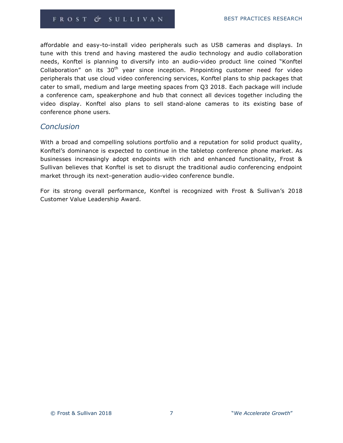affordable and easy-to-install video peripherals such as USB cameras and displays. In tune with this trend and having mastered the audio technology and audio collaboration needs, Konftel is planning to diversify into an audio-video product line coined "Konftel Collaboration" on its  $30<sup>th</sup>$  year since inception. Pinpointing customer need for video peripherals that use cloud video conferencing services, Konftel plans to ship packages that cater to small, medium and large meeting spaces from Q3 2018. Each package will include a conference cam, speakerphone and hub that connect all devices together including the video display. Konftel also plans to sell stand-alone cameras to its existing base of conference phone users.

# *Conclusion*

With a broad and compelling solutions portfolio and a reputation for solid product quality, Konftel's dominance is expected to continue in the tabletop conference phone market. As businesses increasingly adopt endpoints with rich and enhanced functionality, Frost & Sullivan believes that Konftel is set to disrupt the traditional audio conferencing endpoint market through its next-generation audio-video conference bundle.

For its strong overall performance, Konftel is recognized with Frost & Sullivan's 2018 Customer Value Leadership Award.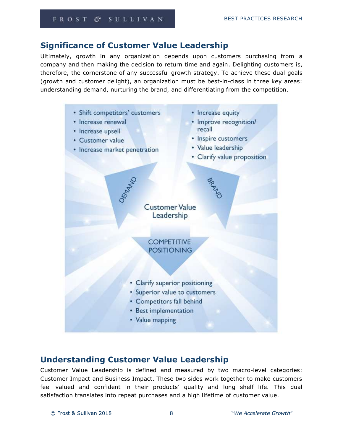# **Significance of Customer Value Leadership**

Ultimately, growth in any organization depends upon customers purchasing from a company and then making the decision to return time and again. Delighting customers is, therefore, the cornerstone of any successful growth strategy. To achieve these dual goals (growth and customer delight), an organization must be best-in-class in three key areas: understanding demand, nurturing the brand, and differentiating from the competition.



# **Understanding Customer Value Leadership**

Customer Value Leadership is defined and measured by two macro-level categories: Customer Impact and Business Impact. These two sides work together to make customers feel valued and confident in their products' quality and long shelf life. This dual satisfaction translates into repeat purchases and a high lifetime of customer value.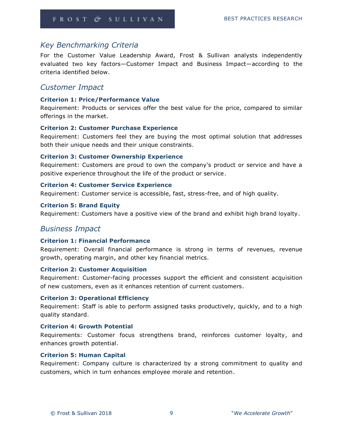# *Key Benchmarking Criteria*

For the Customer Value Leadership Award, Frost & Sullivan analysts independently evaluated two key factors—Customer Impact and Business Impact—according to the criteria identified below.

## *Customer Impact*

#### **Criterion 1: Price/Performance Value**

Requirement: Products or services offer the best value for the price, compared to similar offerings in the market.

#### **Criterion 2: Customer Purchase Experience**

Requirement: Customers feel they are buying the most optimal solution that addresses both their unique needs and their unique constraints.

#### **Criterion 3: Customer Ownership Experience**

Requirement: Customers are proud to own the company's product or service and have a positive experience throughout the life of the product or service.

#### **Criterion 4: Customer Service Experience**

Requirement: Customer service is accessible, fast, stress-free, and of high quality.

#### **Criterion 5: Brand Equity**

Requirement: Customers have a positive view of the brand and exhibit high brand loyalty.

### *Business Impact*

#### **Criterion 1: Financial Performance**

Requirement: Overall financial performance is strong in terms of revenues, revenue growth, operating margin, and other key financial metrics.

#### **Criterion 2: Customer Acquisition**

Requirement: Customer-facing processes support the efficient and consistent acquisition of new customers, even as it enhances retention of current customers.

#### **Criterion 3: Operational Efficiency**

Requirement: Staff is able to perform assigned tasks productively, quickly, and to a high quality standard.

#### **Criterion 4: Growth Potential**

Requirements: Customer focus strengthens brand, reinforces customer loyalty, and enhances growth potential.

#### **Criterion 5: Human Capital**

Requirement: Company culture is characterized by a strong commitment to quality and customers, which in turn enhances employee morale and retention.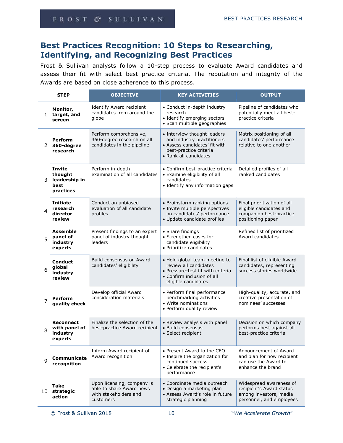# **Best Practices Recognition: 10 Steps to Researching, Identifying, and Recognizing Best Practices**

Frost & Sullivan analysts follow a 10-step process to evaluate Award candidates and assess their fit with select best practice criteria. The reputation and integrity of the Awards are based on close adherence to this process.

| <b>STEP</b>  |                                                                | <b>OBJECTIVE</b>                                                                             | <b>KEY ACTIVITIES</b>                                                                                                                            | <b>OUTPUT</b>                                                                                             |
|--------------|----------------------------------------------------------------|----------------------------------------------------------------------------------------------|--------------------------------------------------------------------------------------------------------------------------------------------------|-----------------------------------------------------------------------------------------------------------|
| $\mathbf{1}$ | Monitor,<br>target, and<br>screen                              | <b>Identify Award recipient</b><br>candidates from around the<br>globe                       | • Conduct in-depth industry<br>research<br>• Identify emerging sectors<br>· Scan multiple geographies                                            | Pipeline of candidates who<br>potentially meet all best-<br>practice criteria                             |
| 2            | <b>Perform</b><br>360-degree<br>research                       | Perform comprehensive,<br>360-degree research on all<br>candidates in the pipeline           | • Interview thought leaders<br>and industry practitioners<br>• Assess candidates' fit with<br>best-practice criteria<br>• Rank all candidates    | Matrix positioning of all<br>candidates' performance<br>relative to one another                           |
| 3            | <b>Invite</b><br>thought<br>leadership in<br>best<br>practices | Perform in-depth<br>examination of all candidates                                            | • Confirm best-practice criteria<br>• Examine eligibility of all<br>candidates<br>• Identify any information gaps                                | Detailed profiles of all<br>ranked candidates                                                             |
| 4            | <b>Initiate</b><br>research<br>director<br>review              | Conduct an unbiased<br>evaluation of all candidate<br>profiles                               | • Brainstorm ranking options<br>· Invite multiple perspectives<br>on candidates' performance<br>· Update candidate profiles                      | Final prioritization of all<br>eligible candidates and<br>companion best-practice<br>positioning paper    |
| 5            | Assemble<br>panel of<br>industry<br>experts                    | Present findings to an expert<br>panel of industry thought<br>leaders                        | • Share findings<br>• Strengthen cases for<br>candidate eligibility<br>• Prioritize candidates                                                   | Refined list of prioritized<br>Award candidates                                                           |
| 6            | <b>Conduct</b><br>global<br>industry<br>review                 | Build consensus on Award<br>candidates' eligibility                                          | • Hold global team meeting to<br>review all candidates<br>• Pressure-test fit with criteria<br>• Confirm inclusion of all<br>eligible candidates | Final list of eligible Award<br>candidates, representing<br>success stories worldwide                     |
| 7            | <b>Perform</b><br>quality check                                | Develop official Award<br>consideration materials                                            | • Perform final performance<br>benchmarking activities<br>• Write nominations<br>• Perform quality review                                        | High-quality, accurate, and<br>creative presentation of<br>nominees' successes                            |
| 8            | <b>Reconnect</b><br>with panel of<br>industry<br>experts       | Finalize the selection of the<br>best-practice Award recipient                               | • Review analysis with panel<br>• Build consensus<br>• Select recipient                                                                          | Decision on which company<br>performs best against all<br>best-practice criteria                          |
| q            | Communicate<br>recognition                                     | Inform Award recipient of<br>Award recognition                                               | • Present Award to the CEO<br>• Inspire the organization for<br>continued success<br>• Celebrate the recipient's<br>performance                  | Announcement of Award<br>and plan for how recipient<br>can use the Award to<br>enhance the brand          |
| 10           | Take<br>strategic<br>action                                    | Upon licensing, company is<br>able to share Award news<br>with stakeholders and<br>customers | • Coordinate media outreach<br>• Design a marketing plan<br>• Assess Award's role in future<br>strategic planning                                | Widespread awareness of<br>recipient's Award status<br>among investors, media<br>personnel, and employees |